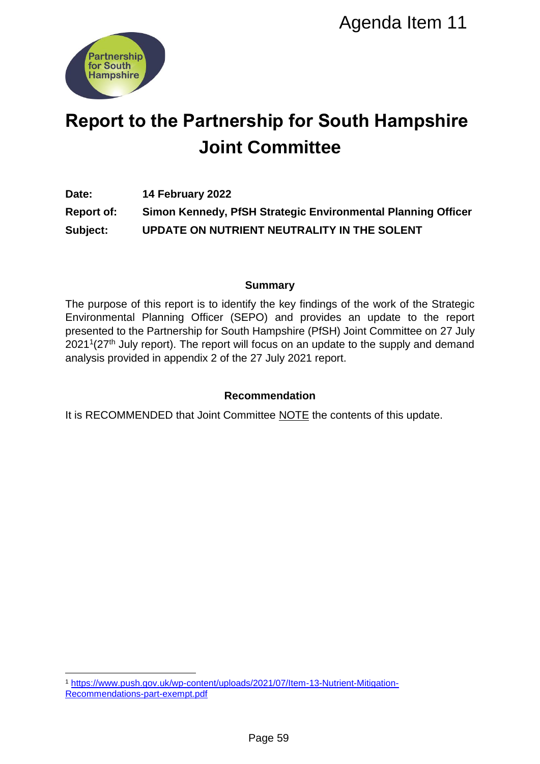

# **Report to the Partnership for South Hampshire Joint Committee**

**Date: 14 February 2022 Report of: Simon Kennedy, PfSH Strategic Environmental Planning Officer Subject: UPDATE ON NUTRIENT NEUTRALITY IN THE SOLENT**

# **Summary**

The purpose of this report is to identify the key findings of the work of the Strategic Environmental Planning Officer (SEPO) and provides an update to the report presented to the Partnership for South Hampshire (PfSH) Joint Committee on 27 July  $2021^1(27<sup>th</sup>)$  July report). The report will focus on an update to the supply and demand analysis provided in appendix 2 of the 27 July 2021 report. Agenda Item 11<br>
Ship for South Hampshire<br>
Committee<br>
H Strategic Environmental Planning Office<br>
NT NEUTRALITY IN THE SOLENT<br>
Summary<br>
fly the key findings of the work of the Stratege<br>
Hampshire (PISH) Joint Committee on 27

# **Recommendation**

It is RECOMMENDED that Joint Committee NOTE the contents of this update.

<sup>1</sup> <sup>1</sup> [https://www.push.gov.uk/wp-content/uploads/2021/07/Item-13-Nutrient-Mitigation-](https://www.push.gov.uk/wp-content/uploads/2021/07/Item-13-Nutrient-Mitigation-Recommendations-part-exempt.pdf)[Recommendations-part-exempt.pdf](https://www.push.gov.uk/wp-content/uploads/2021/07/Item-13-Nutrient-Mitigation-Recommendations-part-exempt.pdf)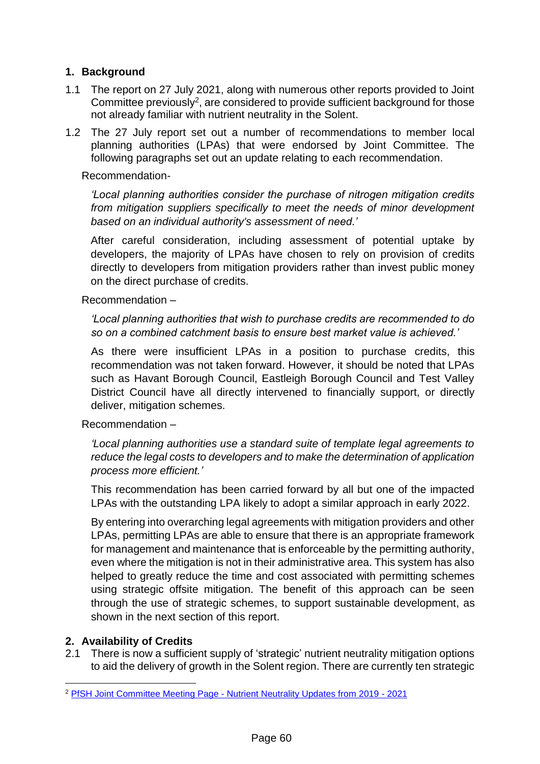# **1. Background**

- 1.1 The report on 27 July 2021, along with numerous other reports provided to Joint Committee previously<sup>2</sup>, are considered to provide sufficient background for those not already familiar with nutrient neutrality in the Solent.
- 1.2 The 27 July report set out a number of recommendations to member local planning authorities (LPAs) that were endorsed by Joint Committee. The following paragraphs set out an update relating to each recommendation.

Recommendation-

*'Local planning authorities consider the purchase of nitrogen mitigation credits from mitigation suppliers specifically to meet the needs of minor development based on an individual authority's assessment of need.'*

After careful consideration, including assessment of potential uptake by developers, the majority of LPAs have chosen to rely on provision of credits directly to developers from mitigation providers rather than invest public money on the direct purchase of credits.

Recommendation –

*'Local planning authorities that wish to purchase credits are recommended to do so on a combined catchment basis to ensure best market value is achieved.'*

As there were insufficient LPAs in a position to purchase credits, this recommendation was not taken forward. However, it should be noted that LPAs such as Havant Borough Council, Eastleigh Borough Council and Test Valley District Council have all directly intervened to financially support, or directly deliver, mitigation schemes.

Recommendation –

*'Local planning authorities use a standard suite of template legal agreements to reduce the legal costs to developers and to make the determination of application process more efficient.'*

This recommendation has been carried forward by all but one of the impacted LPAs with the outstanding LPA likely to adopt a similar approach in early 2022.

By entering into overarching legal agreements with mitigation providers and other LPAs, permitting LPAs are able to ensure that there is an appropriate framework for management and maintenance that is enforceable by the permitting authority, even where the mitigation is not in their administrative area. This system has also helped to greatly reduce the time and cost associated with permitting schemes using strategic offsite mitigation. The benefit of this approach can be seen through the use of strategic schemes, to support sustainable development, as shown in the next section of this report.

# **2. Availability of Credits**

2.1 There is now a sufficient supply of 'strategic' nutrient neutrality mitigation options to aid the delivery of growth in the Solent region. There are currently ten strategic

<sup>1</sup> <sup>2</sup> PfSH Joint Committee Meeting Page - [Nutrient Neutrality Updates from 2019 -](https://www.push.gov.uk/work/our-meetings/joint-committee/) 2021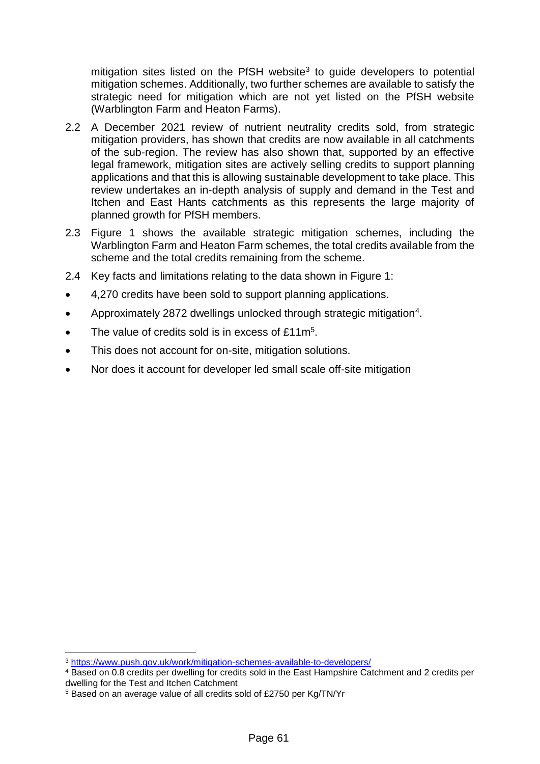mitigation sites listed on the PfSH website<sup>3</sup> to guide developers to potential mitigation schemes. Additionally, two further schemes are available to satisfy the strategic need for mitigation which are not yet listed on the PfSH website (Warblington Farm and Heaton Farms).

- 2.2 A December 2021 review of nutrient neutrality credits sold, from strategic mitigation providers, has shown that credits are now available in all catchments of the sub-region. The review has also shown that, supported by an effective legal framework, mitigation sites are actively selling credits to support planning applications and that this is allowing sustainable development to take place. This review undertakes an in-depth analysis of supply and demand in the Test and Itchen and East Hants catchments as this represents the large majority of planned growth for PfSH members.
- 2.3 Figure 1 shows the available strategic mitigation schemes, including the Warblington Farm and Heaton Farm schemes, the total credits available from the scheme and the total credits remaining from the scheme.
- 2.4 Key facts and limitations relating to the data shown in Figure 1:
- 4,270 credits have been sold to support planning applications.
- Approximately 2872 dwellings unlocked through strategic mitigation<sup>4</sup>.
- The value of credits sold is in excess of £11m<sup>5</sup>.
- This does not account for on-site, mitigation solutions.
- Nor does it account for developer led small scale off-site mitigation

1

<sup>3</sup> <https://www.push.gov.uk/work/mitigation-schemes-available-to-developers/>

<sup>4</sup> Based on 0.8 credits per dwelling for credits sold in the East Hampshire Catchment and 2 credits per dwelling for the Test and Itchen Catchment

<sup>5</sup> Based on an average value of all credits sold of £2750 per Kg/TN/Yr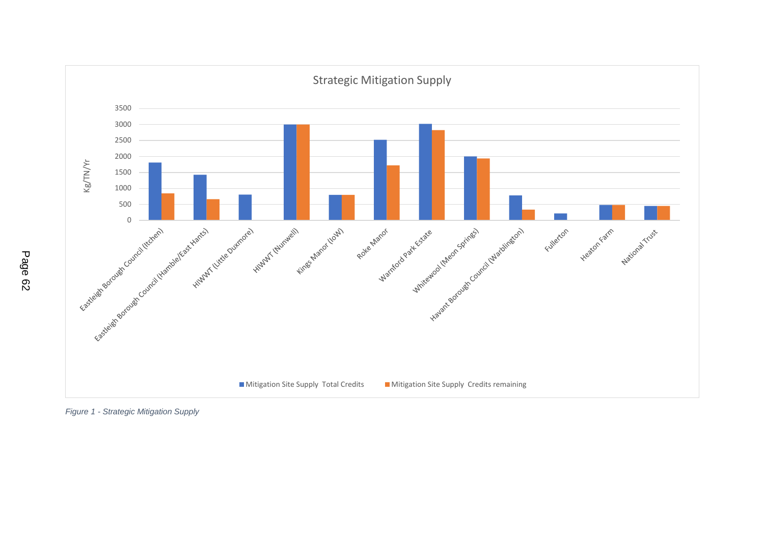

*Figure 1 - Strategic Mitigation Supply*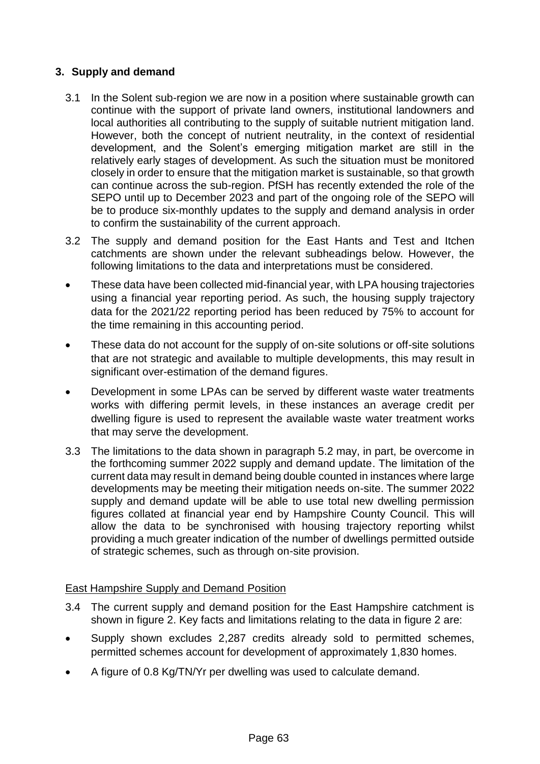# **3. Supply and demand**

- 3.1 In the Solent sub-region we are now in a position where sustainable growth can continue with the support of private land owners, institutional landowners and local authorities all contributing to the supply of suitable nutrient mitigation land. However, both the concept of nutrient neutrality, in the context of residential development, and the Solent's emerging mitigation market are still in the relatively early stages of development. As such the situation must be monitored closely in order to ensure that the mitigation market is sustainable, so that growth can continue across the sub-region. PfSH has recently extended the role of the SEPO until up to December 2023 and part of the ongoing role of the SEPO will be to produce six-monthly updates to the supply and demand analysis in order to confirm the sustainability of the current approach.
- 3.2 The supply and demand position for the East Hants and Test and Itchen catchments are shown under the relevant subheadings below. However, the following limitations to the data and interpretations must be considered.
- These data have been collected mid-financial year, with LPA housing trajectories using a financial year reporting period. As such, the housing supply trajectory data for the 2021/22 reporting period has been reduced by 75% to account for the time remaining in this accounting period.
- These data do not account for the supply of on-site solutions or off-site solutions that are not strategic and available to multiple developments, this may result in significant over-estimation of the demand figures.
- Development in some LPAs can be served by different waste water treatments works with differing permit levels, in these instances an average credit per dwelling figure is used to represent the available waste water treatment works that may serve the development.
- 3.3 The limitations to the data shown in paragraph 5.2 may, in part, be overcome in the forthcoming summer 2022 supply and demand update. The limitation of the current data may result in demand being double counted in instances where large developments may be meeting their mitigation needs on-site. The summer 2022 supply and demand update will be able to use total new dwelling permission figures collated at financial year end by Hampshire County Council. This will allow the data to be synchronised with housing trajectory reporting whilst providing a much greater indication of the number of dwellings permitted outside of strategic schemes, such as through on-site provision.

# East Hampshire Supply and Demand Position

- 3.4 The current supply and demand position for the East Hampshire catchment is shown in figure 2. Key facts and limitations relating to the data in figure 2 are:
- Supply shown excludes 2,287 credits already sold to permitted schemes, permitted schemes account for development of approximately 1,830 homes.
- A figure of 0.8 Kg/TN/Yr per dwelling was used to calculate demand.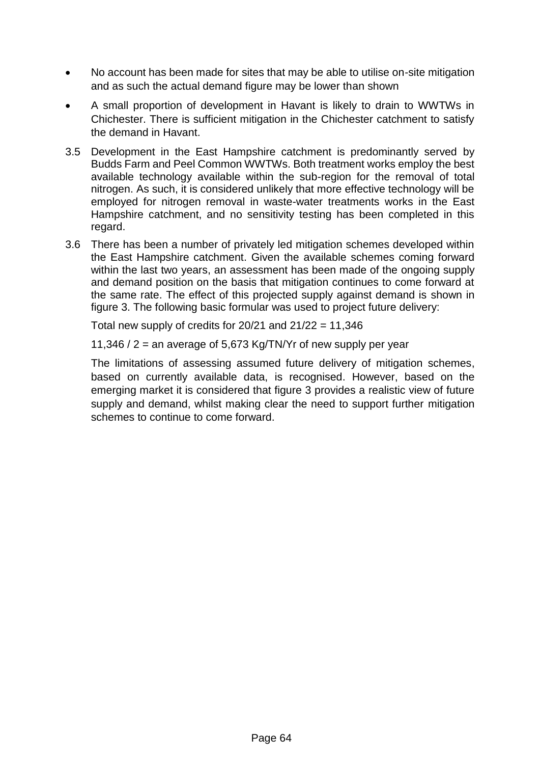- No account has been made for sites that may be able to utilise on-site mitigation and as such the actual demand figure may be lower than shown
- A small proportion of development in Havant is likely to drain to WWTWs in Chichester. There is sufficient mitigation in the Chichester catchment to satisfy the demand in Havant.
- 3.5 Development in the East Hampshire catchment is predominantly served by Budds Farm and Peel Common WWTWs. Both treatment works employ the best available technology available within the sub-region for the removal of total nitrogen. As such, it is considered unlikely that more effective technology will be employed for nitrogen removal in waste-water treatments works in the East Hampshire catchment, and no sensitivity testing has been completed in this regard.
- 3.6 There has been a number of privately led mitigation schemes developed within the East Hampshire catchment. Given the available schemes coming forward within the last two years, an assessment has been made of the ongoing supply and demand position on the basis that mitigation continues to come forward at the same rate. The effect of this projected supply against demand is shown in figure 3. The following basic formular was used to project future delivery:

Total new supply of credits for  $20/21$  and  $21/22 = 11,346$ 

11,346 / 2 = an average of 5,673 Kg/TN/Yr of new supply per year

The limitations of assessing assumed future delivery of mitigation schemes, based on currently available data, is recognised. However, based on the emerging market it is considered that figure 3 provides a realistic view of future supply and demand, whilst making clear the need to support further mitigation schemes to continue to come forward.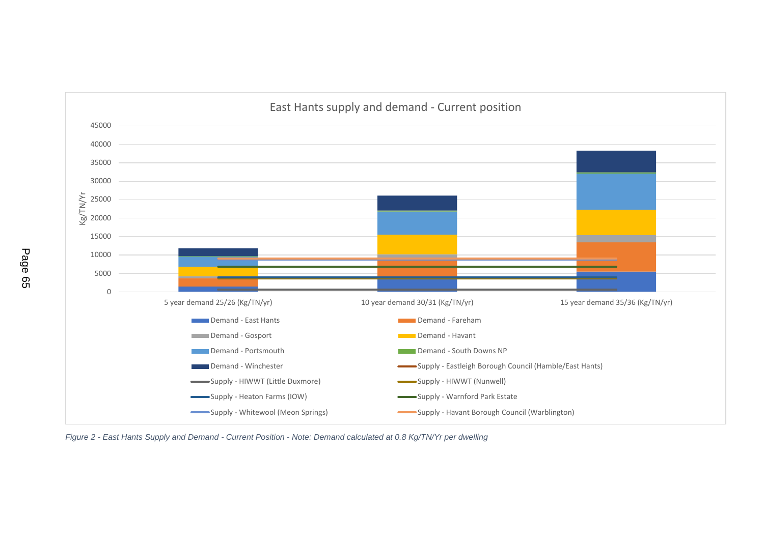

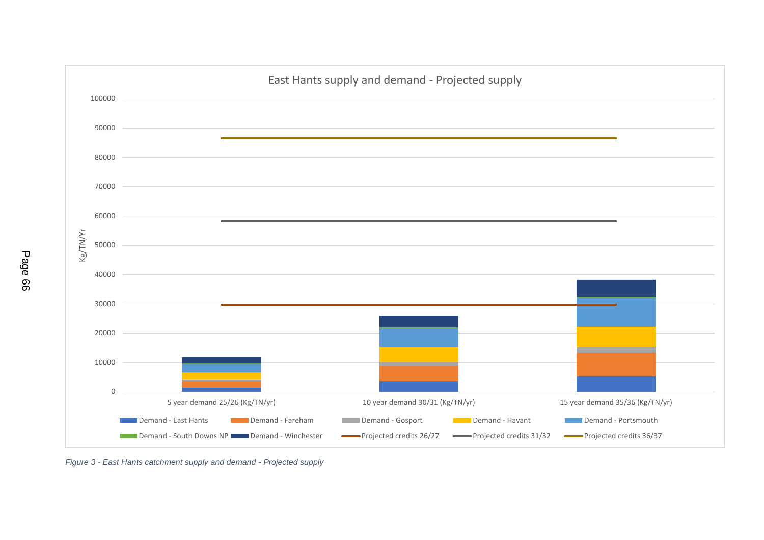

*Figure 3 - East Hants catchment supply and demand - Projected supply*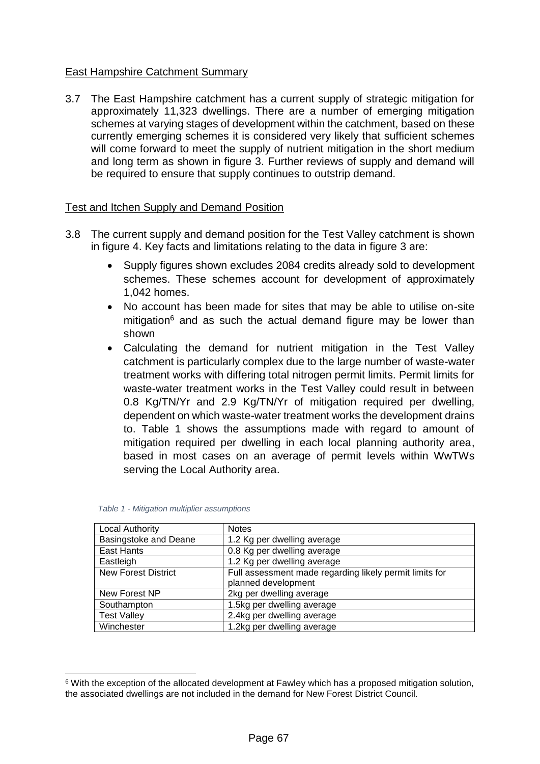## East Hampshire Catchment Summary

3.7 The East Hampshire catchment has a current supply of strategic mitigation for approximately 11,323 dwellings. There are a number of emerging mitigation schemes at varying stages of development within the catchment, based on these currently emerging schemes it is considered very likely that sufficient schemes will come forward to meet the supply of nutrient mitigation in the short medium and long term as shown in figure 3. Further reviews of supply and demand will be required to ensure that supply continues to outstrip demand.

### Test and Itchen Supply and Demand Position

- 3.8 The current supply and demand position for the Test Valley catchment is shown in figure 4. Key facts and limitations relating to the data in figure 3 are:
	- Supply figures shown excludes 2084 credits already sold to development schemes. These schemes account for development of approximately 1,042 homes.
	- No account has been made for sites that may be able to utilise on-site mitigation $6$  and as such the actual demand figure may be lower than shown
	- Calculating the demand for nutrient mitigation in the Test Valley catchment is particularly complex due to the large number of waste-water treatment works with differing total nitrogen permit limits. Permit limits for waste-water treatment works in the Test Valley could result in between 0.8 Kg/TN/Yr and 2.9 Kg/TN/Yr of mitigation required per dwelling, dependent on which waste-water treatment works the development drains to. Table 1 shows the assumptions made with regard to amount of mitigation required per dwelling in each local planning authority area, based in most cases on an average of permit levels within WwTWs serving the Local Authority area.

| <b>Local Authority</b>       | <b>Notes</b>                                            |
|------------------------------|---------------------------------------------------------|
| <b>Basingstoke and Deane</b> | 1.2 Kg per dwelling average                             |
| East Hants                   | 0.8 Kg per dwelling average                             |
| Eastleigh                    | 1.2 Kg per dwelling average                             |
| <b>New Forest District</b>   | Full assessment made regarding likely permit limits for |
|                              | planned development                                     |
| New Forest NP                | 2kg per dwelling average                                |
| Southampton                  | 1.5kg per dwelling average                              |
| <b>Test Valley</b>           | 2.4kg per dwelling average                              |
| Winchester                   | 1.2kg per dwelling average                              |

| Table 1 - Mitigation multiplier assumptions |  |  |
|---------------------------------------------|--|--|
|---------------------------------------------|--|--|

1

<sup>6</sup> With the exception of the allocated development at Fawley which has a proposed mitigation solution, the associated dwellings are not included in the demand for New Forest District Council.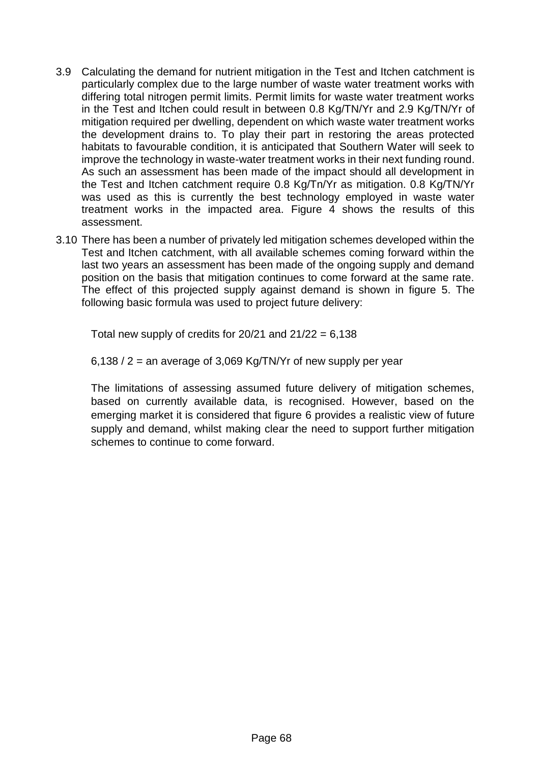- 3.9 Calculating the demand for nutrient mitigation in the Test and Itchen catchment is particularly complex due to the large number of waste water treatment works with differing total nitrogen permit limits. Permit limits for waste water treatment works in the Test and Itchen could result in between 0.8 Kg/TN/Yr and 2.9 Kg/TN/Yr of mitigation required per dwelling, dependent on which waste water treatment works the development drains to. To play their part in restoring the areas protected habitats to favourable condition, it is anticipated that Southern Water will seek to improve the technology in waste-water treatment works in their next funding round. As such an assessment has been made of the impact should all development in the Test and Itchen catchment require 0.8 Kg/Tn/Yr as mitigation. 0.8 Kg/TN/Yr was used as this is currently the best technology employed in waste water treatment works in the impacted area. Figure 4 shows the results of this assessment.
- 3.10 There has been a number of privately led mitigation schemes developed within the Test and Itchen catchment, with all available schemes coming forward within the last two years an assessment has been made of the ongoing supply and demand position on the basis that mitigation continues to come forward at the same rate. The effect of this projected supply against demand is shown in figure 5. The following basic formula was used to project future delivery:

Total new supply of credits for  $20/21$  and  $21/22 = 6,138$ 

 $6,138 / 2$  = an average of 3,069 Kg/TN/Yr of new supply per year

The limitations of assessing assumed future delivery of mitigation schemes, based on currently available data, is recognised. However, based on the emerging market it is considered that figure 6 provides a realistic view of future supply and demand, whilst making clear the need to support further mitigation schemes to continue to come forward.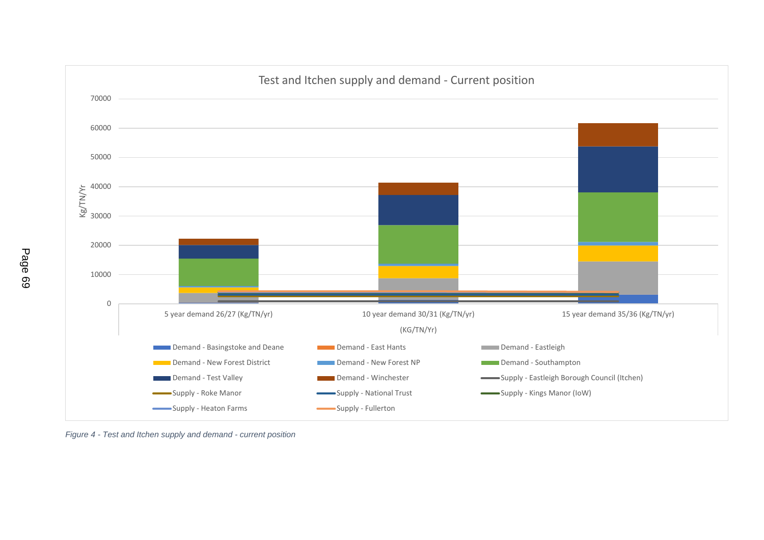

*Figure 4 - Test and Itchen supply and demand - current position*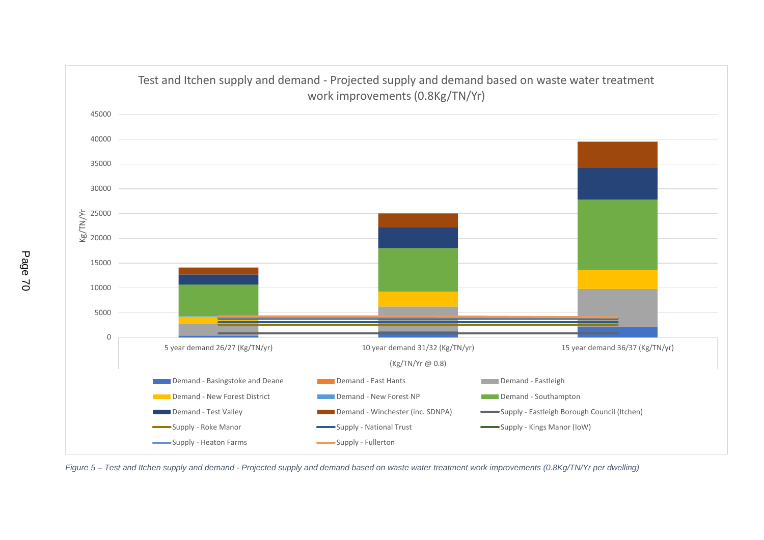

*Figure 5 – Test and Itchen supply and demand - Projected supply and demand based on waste water treatment work improvements (0.8Kg/TN/Yr per dwelling)*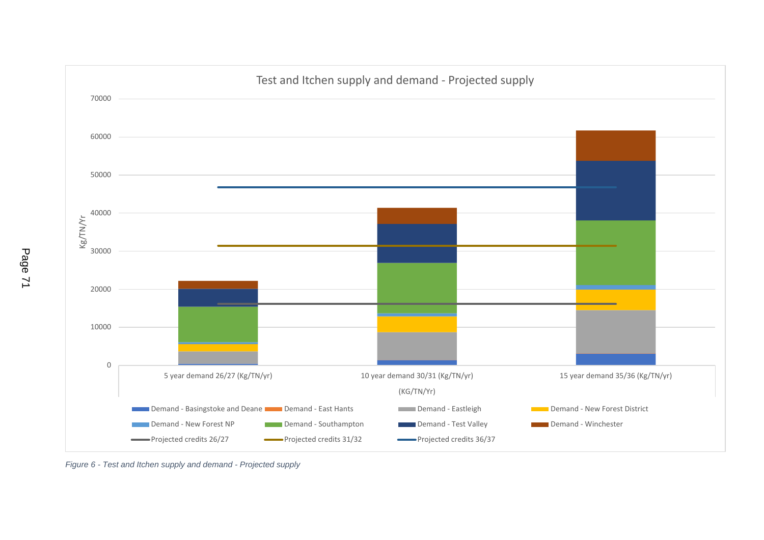

*Figure 6 - Test and Itchen supply and demand - Projected supply*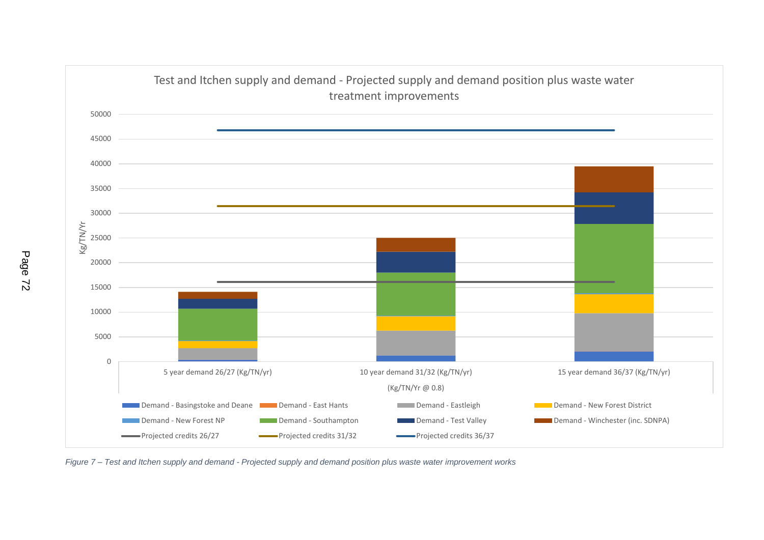

*Figure 7 – Test and Itchen supply and demand - Projected supply and demand position plus waste water improvement works*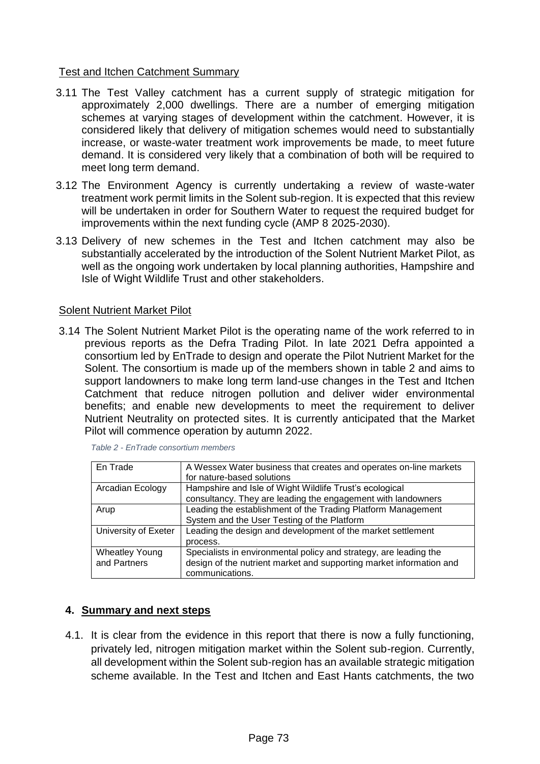## Test and Itchen Catchment Summary

- 3.11 The Test Valley catchment has a current supply of strategic mitigation for approximately 2,000 dwellings. There are a number of emerging mitigation schemes at varying stages of development within the catchment. However, it is considered likely that delivery of mitigation schemes would need to substantially increase, or waste-water treatment work improvements be made, to meet future demand. It is considered very likely that a combination of both will be required to meet long term demand.
- 3.12 The Environment Agency is currently undertaking a review of waste-water treatment work permit limits in the Solent sub-region. It is expected that this review will be undertaken in order for Southern Water to request the required budget for improvements within the next funding cycle (AMP 8 2025-2030).
- 3.13 Delivery of new schemes in the Test and Itchen catchment may also be substantially accelerated by the introduction of the Solent Nutrient Market Pilot, as well as the ongoing work undertaken by local planning authorities, Hampshire and Isle of Wight Wildlife Trust and other stakeholders.

### Solent Nutrient Market Pilot

3.14 The Solent Nutrient Market Pilot is the operating name of the work referred to in previous reports as the Defra Trading Pilot. In late 2021 Defra appointed a consortium led by EnTrade to design and operate the Pilot Nutrient Market for the Solent. The consortium is made up of the members shown in table 2 and aims to support landowners to make long term land-use changes in the Test and Itchen Catchment that reduce nitrogen pollution and deliver wider environmental benefits; and enable new developments to meet the requirement to deliver Nutrient Neutrality on protected sites. It is currently anticipated that the Market Pilot will commence operation by autumn 2022.

| En Trade              | A Wessex Water business that creates and operates on-line markets   |
|-----------------------|---------------------------------------------------------------------|
|                       | for nature-based solutions                                          |
| Arcadian Ecology      | Hampshire and Isle of Wight Wildlife Trust's ecological             |
|                       | consultancy. They are leading the engagement with landowners        |
| Arup                  | Leading the establishment of the Trading Platform Management        |
|                       | System and the User Testing of the Platform                         |
| University of Exeter  | Leading the design and development of the market settlement         |
|                       | process.                                                            |
| <b>Wheatley Young</b> | Specialists in environmental policy and strategy, are leading the   |
| and Partners          | design of the nutrient market and supporting market information and |
|                       | communications.                                                     |

*Table 2 - EnTrade consortium members*

### **4. Summary and next steps**

4.1. It is clear from the evidence in this report that there is now a fully functioning, privately led, nitrogen mitigation market within the Solent sub-region. Currently, all development within the Solent sub-region has an available strategic mitigation scheme available. In the Test and Itchen and East Hants catchments, the two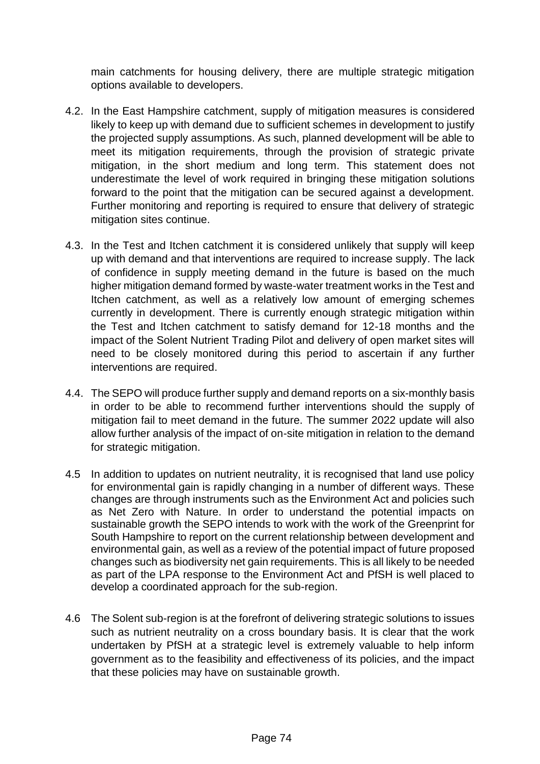main catchments for housing delivery, there are multiple strategic mitigation options available to developers.

- 4.2. In the East Hampshire catchment, supply of mitigation measures is considered likely to keep up with demand due to sufficient schemes in development to justify the projected supply assumptions. As such, planned development will be able to meet its mitigation requirements, through the provision of strategic private mitigation, in the short medium and long term. This statement does not underestimate the level of work required in bringing these mitigation solutions forward to the point that the mitigation can be secured against a development. Further monitoring and reporting is required to ensure that delivery of strategic mitigation sites continue.
- 4.3. In the Test and Itchen catchment it is considered unlikely that supply will keep up with demand and that interventions are required to increase supply. The lack of confidence in supply meeting demand in the future is based on the much higher mitigation demand formed by waste-water treatment works in the Test and Itchen catchment, as well as a relatively low amount of emerging schemes currently in development. There is currently enough strategic mitigation within the Test and Itchen catchment to satisfy demand for 12-18 months and the impact of the Solent Nutrient Trading Pilot and delivery of open market sites will need to be closely monitored during this period to ascertain if any further interventions are required.
- 4.4. The SEPO will produce further supply and demand reports on a six-monthly basis in order to be able to recommend further interventions should the supply of mitigation fail to meet demand in the future. The summer 2022 update will also allow further analysis of the impact of on-site mitigation in relation to the demand for strategic mitigation.
- 4.5 In addition to updates on nutrient neutrality, it is recognised that land use policy for environmental gain is rapidly changing in a number of different ways. These changes are through instruments such as the Environment Act and policies such as Net Zero with Nature. In order to understand the potential impacts on sustainable growth the SEPO intends to work with the work of the Greenprint for South Hampshire to report on the current relationship between development and environmental gain, as well as a review of the potential impact of future proposed changes such as biodiversity net gain requirements. This is all likely to be needed as part of the LPA response to the Environment Act and PfSH is well placed to develop a coordinated approach for the sub-region.
- 4.6 The Solent sub-region is at the forefront of delivering strategic solutions to issues such as nutrient neutrality on a cross boundary basis. It is clear that the work undertaken by PfSH at a strategic level is extremely valuable to help inform government as to the feasibility and effectiveness of its policies, and the impact that these policies may have on sustainable growth.